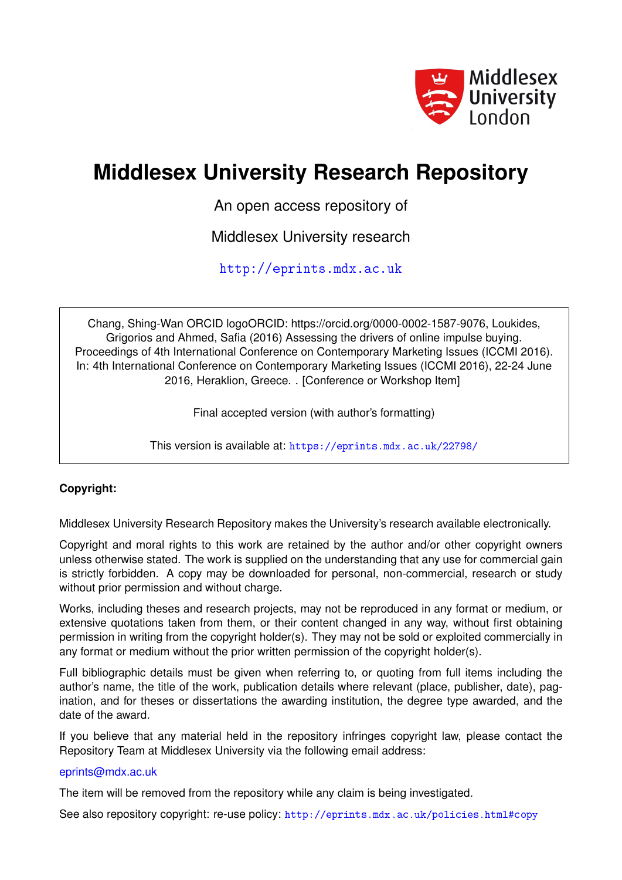

# **Middlesex University Research Repository**

An open access repository of

Middlesex University research

<http://eprints.mdx.ac.uk>

Chang, Shing-Wan ORCID logoORCID: https://orcid.org/0000-0002-1587-9076, Loukides, Grigorios and Ahmed, Safia (2016) Assessing the drivers of online impulse buying. Proceedings of 4th International Conference on Contemporary Marketing Issues (ICCMI 2016). In: 4th International Conference on Contemporary Marketing Issues (ICCMI 2016), 22-24 June 2016, Heraklion, Greece. . [Conference or Workshop Item]

Final accepted version (with author's formatting)

This version is available at: <https://eprints.mdx.ac.uk/22798/>

# **Copyright:**

Middlesex University Research Repository makes the University's research available electronically.

Copyright and moral rights to this work are retained by the author and/or other copyright owners unless otherwise stated. The work is supplied on the understanding that any use for commercial gain is strictly forbidden. A copy may be downloaded for personal, non-commercial, research or study without prior permission and without charge.

Works, including theses and research projects, may not be reproduced in any format or medium, or extensive quotations taken from them, or their content changed in any way, without first obtaining permission in writing from the copyright holder(s). They may not be sold or exploited commercially in any format or medium without the prior written permission of the copyright holder(s).

Full bibliographic details must be given when referring to, or quoting from full items including the author's name, the title of the work, publication details where relevant (place, publisher, date), pagination, and for theses or dissertations the awarding institution, the degree type awarded, and the date of the award.

If you believe that any material held in the repository infringes copyright law, please contact the Repository Team at Middlesex University via the following email address:

# [eprints@mdx.ac.uk](mailto:eprints@mdx.ac.uk)

The item will be removed from the repository while any claim is being investigated.

See also repository copyright: re-use policy: <http://eprints.mdx.ac.uk/policies.html#copy>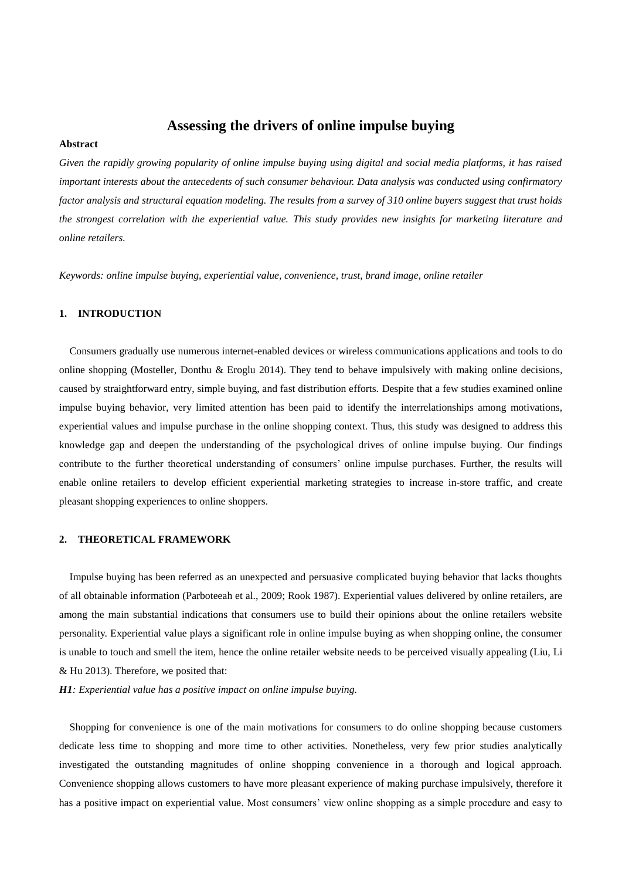# **Assessing the drivers of online impulse buying**

## **Abstract**

*Given the rapidly growing popularity of online impulse buying using digital and social media platforms, it has raised important interests about the antecedents of such consumer behaviour. Data analysis was conducted using confirmatory factor analysis and structural equation modeling. The results from a survey of 310 online buyers suggest that trust holds the strongest correlation with the experiential value. This study provides new insights for marketing literature and online retailers.*

*Keywords: online impulse buying, experiential value, convenience, trust, brand image, online retailer*

## **1. INTRODUCTION**

Consumers gradually use numerous internet-enabled devices or wireless communications applications and tools to do online shopping (Mosteller, Donthu & Eroglu 2014). They tend to behave impulsively with making online decisions, caused by straightforward entry, simple buying, and fast distribution efforts. Despite that a few studies examined online impulse buying behavior, very limited attention has been paid to identify the interrelationships among motivations, experiential values and impulse purchase in the online shopping context. Thus, this study was designed to address this knowledge gap and deepen the understanding of the psychological drives of online impulse buying. Our findings contribute to the further theoretical understanding of consumers' online impulse purchases. Further, the results will enable online retailers to develop efficient experiential marketing strategies to increase in-store traffic, and create pleasant shopping experiences to online shoppers.

## **2. THEORETICAL FRAMEWORK**

Impulse buying has been referred as an unexpected and persuasive complicated buying behavior that lacks thoughts of all obtainable information (Parboteeah et al., 2009; Rook 1987). Experiential values delivered by online retailers, are among the main substantial indications that consumers use to build their opinions about the online retailers website personality. Experiential value plays a significant role in online impulse buying as when shopping online, the consumer is unable to touch and smell the item, hence the online retailer website needs to be perceived visually appealing (Liu, Li & Hu 2013). Therefore, we posited that:

*H1: Experiential value has a positive impact on online impulse buying.*

Shopping for convenience is one of the main motivations for consumers to do online shopping because customers dedicate less time to shopping and more time to other activities. Nonetheless, very few prior studies analytically investigated the outstanding magnitudes of online shopping convenience in a thorough and logical approach. Convenience shopping allows customers to have more pleasant experience of making purchase impulsively, therefore it has a positive impact on experiential value. Most consumers' view online shopping as a simple procedure and easy to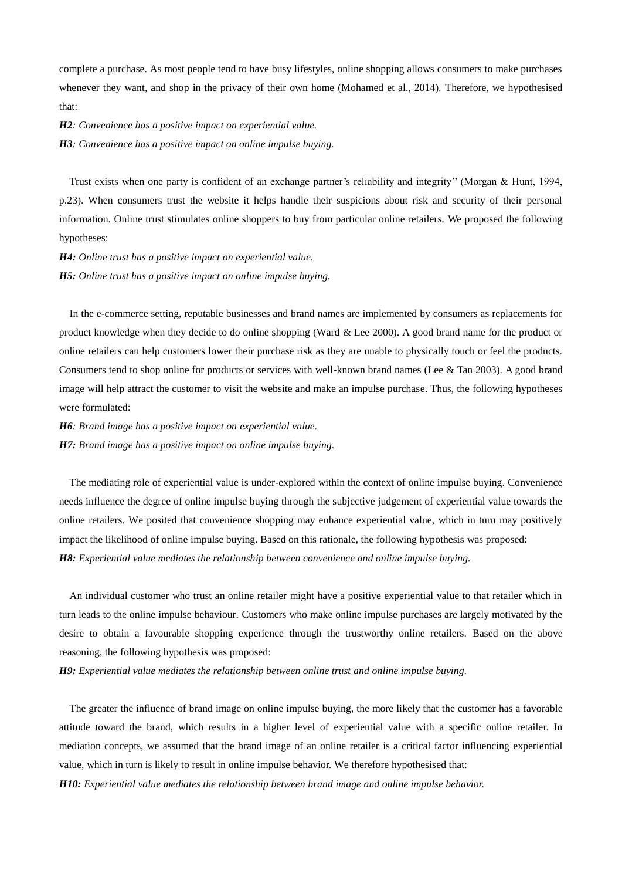complete a purchase. As most people tend to have busy lifestyles, online shopping allows consumers to make purchases whenever they want, and shop in the privacy of their own home (Mohamed et al., 2014). Therefore, we hypothesised that:

*H2: Convenience has a positive impact on experiential value.*

*H3: Convenience has a positive impact on online impulse buying.*

Trust exists when one party is confident of an exchange partner's reliability and integrity'' (Morgan & Hunt, 1994, p.23). When consumers trust the website it helps handle their suspicions about risk and security of their personal information. Online trust stimulates online shoppers to buy from particular online retailers. We proposed the following hypotheses:

*H4: Online trust has a positive impact on experiential value. H5: Online trust has a positive impact on online impulse buying.*

In the e-commerce setting, reputable businesses and brand names are implemented by consumers as replacements for product knowledge when they decide to do online shopping (Ward & Lee 2000). A good brand name for the product or online retailers can help customers lower their purchase risk as they are unable to physically touch or feel the products. Consumers tend to shop online for products or services with well-known brand names (Lee & Tan 2003). A good brand image will help attract the customer to visit the website and make an impulse purchase. Thus, the following hypotheses were formulated:

*H6: Brand image has a positive impact on experiential value. H7: Brand image has a positive impact on online impulse buying.*

The mediating role of experiential value is under-explored within the context of online impulse buying. Convenience needs influence the degree of online impulse buying through the subjective judgement of experiential value towards the online retailers. We posited that convenience shopping may enhance experiential value, which in turn may positively impact the likelihood of online impulse buying. Based on this rationale, the following hypothesis was proposed: *H8: Experiential value mediates the relationship between convenience and online impulse buying.*

An individual customer who trust an online retailer might have a positive experiential value to that retailer which in turn leads to the online impulse behaviour. Customers who make online impulse purchases are largely motivated by the desire to obtain a favourable shopping experience through the trustworthy online retailers. Based on the above reasoning, the following hypothesis was proposed:

*H9: Experiential value mediates the relationship between online trust and online impulse buying.* 

The greater the influence of brand image on online impulse buying, the more likely that the customer has a favorable attitude toward the brand, which results in a higher level of experiential value with a specific online retailer. In mediation concepts, we assumed that the brand image of an online retailer is a critical factor influencing experiential value, which in turn is likely to result in online impulse behavior. We therefore hypothesised that: *H10: Experiential value mediates the relationship between brand image and online impulse behavior.*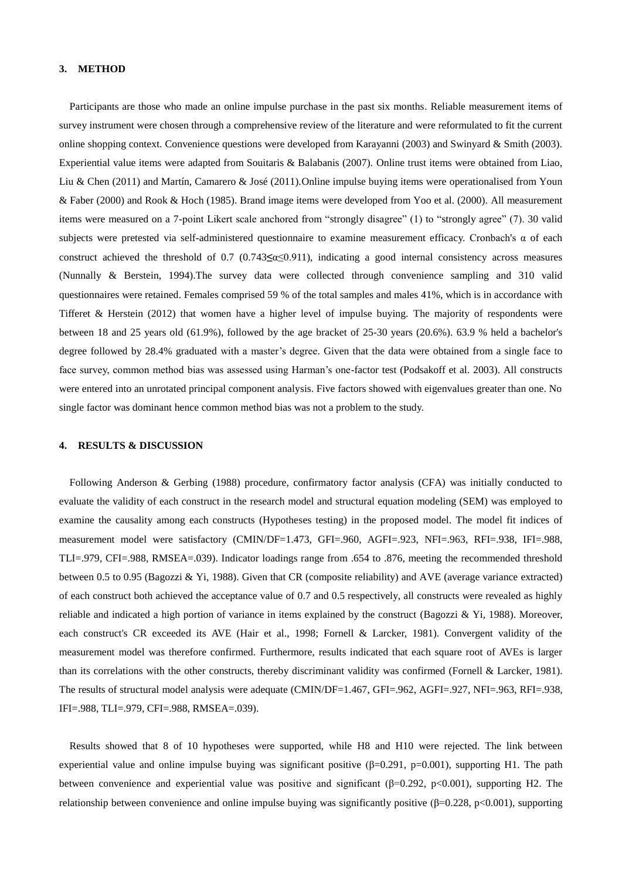### **3. METHOD**

Participants are those who made an online impulse purchase in the past six months. Reliable measurement items of survey instrument were chosen through a comprehensive review of the literature and were reformulated to fit the current online shopping context. Convenience questions were developed from Karayanni (2003) and Swinyard & Smith (2003). Experiential value items were adapted from Souitaris & Balabanis (2007). Online trust items were obtained from Liao, Liu & Chen (2011) and Martín, Camarero & José (2011).Online impulse buying items were operationalised from Youn & Faber (2000) and Rook & Hoch (1985). Brand image items were developed from Yoo et al. (2000). All measurement items were measured on a 7-point Likert scale anchored from "strongly disagree" (1) to "strongly agree" (7). 30 valid subjects were pretested via self-administered questionnaire to examine measurement efficacy. Cronbach's  $\alpha$  of each construct achieved the threshold of 0.7 (0.743**≤**α≤0.911), indicating a good internal consistency across measures (Nunnally & Berstein, 1994).The survey data were collected through convenience sampling and 310 valid questionnaires were retained. Females comprised 59 % of the total samples and males 41%, which is in accordance with Tifferet & Herstein (2012) that women have a higher level of impulse buying. The majority of respondents were between 18 and 25 years old (61.9%), followed by the age bracket of 25-30 years (20.6%). 63.9 % held a bachelor's degree followed by 28.4% graduated with a master's degree. Given that the data were obtained from a single face to face survey, common method bias was assessed using Harman's one-factor test (Podsakoff et al. 2003). All constructs were entered into an unrotated principal component analysis. Five factors showed with eigenvalues greater than one. No single factor was dominant hence common method bias was not a problem to the study.

#### **4. RESULTS & DISCUSSION**

Following Anderson & Gerbing (1988) procedure, confirmatory factor analysis (CFA) was initially conducted to evaluate the validity of each construct in the research model and structural equation modeling (SEM) was employed to examine the causality among each constructs (Hypotheses testing) in the proposed model. The model fit indices of measurement model were satisfactory (CMIN/DF=1.473, GFI=.960, AGFI=.923, NFI=.963, RFI=.938, IFI=.988, TLI=.979, CFI=.988, RMSEA=.039). Indicator loadings range from .654 to .876, meeting the recommended threshold between 0.5 to 0.95 (Bagozzi & Yi, 1988). Given that CR (composite reliability) and AVE (average variance extracted) of each construct both achieved the acceptance value of 0.7 and 0.5 respectively, all constructs were revealed as highly reliable and indicated a high portion of variance in items explained by the construct (Bagozzi & Yi, 1988). Moreover, each construct's CR exceeded its AVE (Hair et al., 1998; Fornell & Larcker, 1981). Convergent validity of the measurement model was therefore confirmed. Furthermore, results indicated that each square root of AVEs is larger than its correlations with the other constructs, thereby discriminant validity was confirmed (Fornell & Larcker, 1981). The results of structural model analysis were adequate (CMIN/DF=1.467, GFI=.962, AGFI=.927, NFI=.963, RFI=.938, IFI=.988, TLI=.979, CFI=.988, RMSEA=.039).

Results showed that 8 of 10 hypotheses were supported, while H8 and H10 were rejected. The link between experiential value and online impulse buying was significant positive ( $\beta$ =0.291, p=0.001), supporting H1. The path between convenience and experiential value was positive and significant (β=0.292, p<0.001), supporting H2. The relationship between convenience and online impulse buying was significantly positive (β=0.228, p<0.001), supporting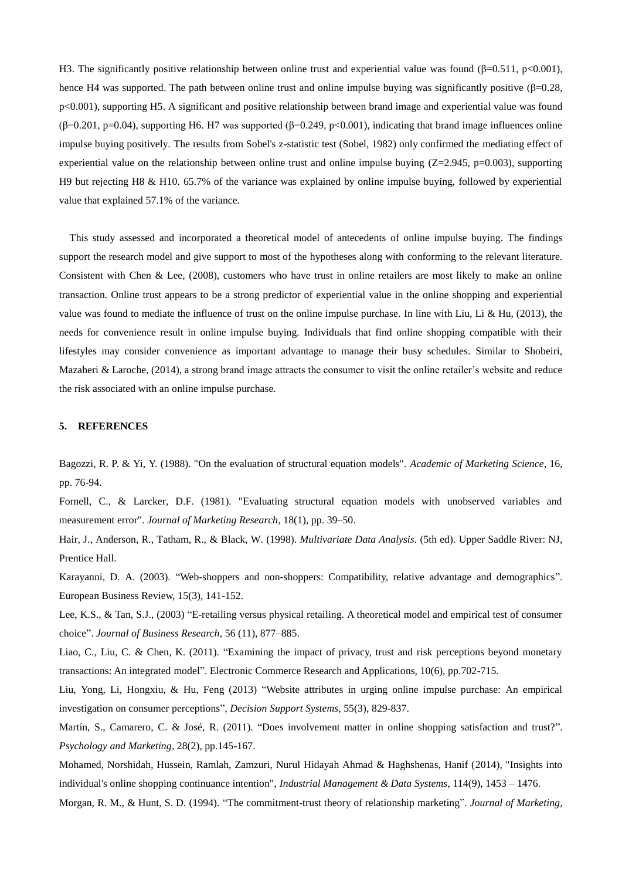H3. The significantly positive relationship between online trust and experiential value was found (β=0.511, p<0.001), hence H4 was supported. The path between online trust and online impulse buying was significantly positive  $(\beta=0.28, \beta=0.29)$ p<0.001), supporting H5. A significant and positive relationship between brand image and experiential value was found (β=0.201, p=0.04), supporting H6. H7 was supported (β=0.249, p<0.001), indicating that brand image influences online impulse buying positively. The results from Sobel's z-statistic test (Sobel, 1982) only confirmed the mediating effect of experiential value on the relationship between online trust and online impulse buying  $(Z=2.945, p=0.003)$ , supporting H9 but rejecting H8 & H10. 65.7% of the variance was explained by online impulse buying, followed by experiential value that explained 57.1% of the variance.

This study assessed and incorporated a theoretical model of antecedents of online impulse buying. The findings support the research model and give support to most of the hypotheses along with conforming to the relevant literature. Consistent with Chen & Lee, (2008), customers who have trust in online retailers are most likely to make an online transaction. Online trust appears to be a strong predictor of experiential value in the online shopping and experiential value was found to mediate the influence of trust on the online impulse purchase. In line with Liu, Li & Hu,  $(2013)$ , the needs for convenience result in online impulse buying. Individuals that find online shopping compatible with their lifestyles may consider convenience as important advantage to manage their busy schedules. Similar to Shobeiri, Mazaheri & Laroche, (2014), a strong brand image attracts the consumer to visit the online retailer's website and reduce the risk associated with an online impulse purchase.

### **5. REFERENCES**

Bagozzi, R. P. & Yi, Y. (1988). "On the evaluation of structural equation models". *Academic of Marketing Science*, 16, pp. 76-94.

Fornell, C., & Larcker, D.F. (1981). "Evaluating structural equation models with unobserved variables and measurement error". *Journal of Marketing Research*, 18(1), pp. 39–50.

Hair, J., Anderson, R., Tatham, R., & Black, W. (1998). *Multivariate Data Analysis*. (5th ed). Upper Saddle River: NJ, Prentice Hall.

Karayanni, D. A. (2003). "Web-shoppers and non-shoppers: Compatibility, relative advantage and demographics". European Business Review, 15(3), 141-152.

Lee, K.S., & Tan, S.J., (2003) "E-retailing versus physical retailing. A theoretical model and empirical test of consumer choice". *Journal of Business Research*, 56 (11), 877–885.

Liao, C., Liu, C. & Chen, K. (2011). "Examining the impact of privacy, trust and risk perceptions beyond monetary transactions: An integrated model". Electronic Commerce Research and Applications, 10(6), pp.702-715.

Liu, Yong, Li, Hongxiu, & Hu, Feng (2013) "Website attributes in urging online impulse purchase: An empirical investigation on consumer perceptions", *Decision Support Systems*, 55(3), 829-837.

Martín, S., Camarero, C. & José, R. (2011). "Does involvement matter in online shopping satisfaction and trust?". *Psychology and Marketing*, 28(2), pp.145-167.

Mohamed, Norshidah, Hussein, Ramlah, Zamzuri, Nurul Hidayah Ahmad & Haghshenas, Hanif (2014), "Insights into individual's online shopping continuance intention", *Industrial Management & Data Systems*, 114(9), 1453 – 1476.

Morgan, R. M., & Hunt, S. D. (1994). "The commitment-trust theory of relationship marketing". *Journal of Marketing*,